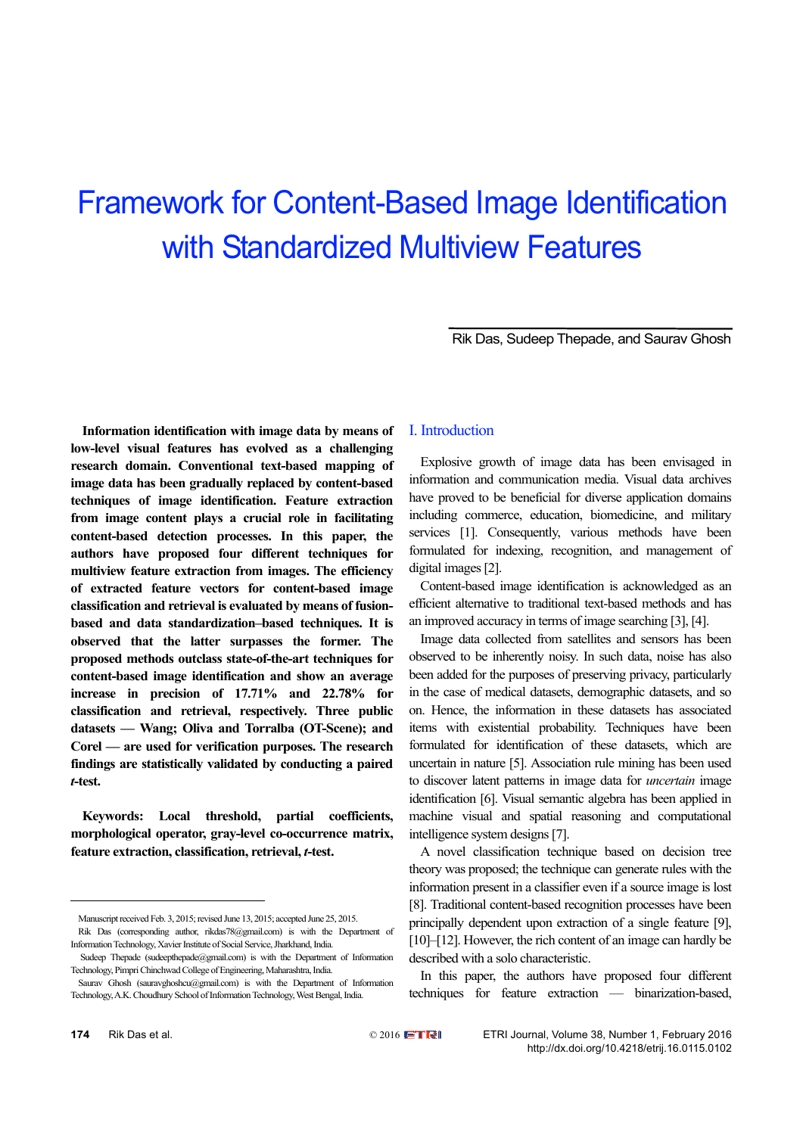# Framework for Content-Based Image Identification with Standardized Multiview Features

Rik Das, Sudeep Thepade, and Saurav Ghosh

**Information identification with image data by means of low-level visual features has evolved as a challenging research domain. Conventional text-based mapping of image data has been gradually replaced by content-based techniques of image identification. Feature extraction from image content plays a crucial role in facilitating content-based detection processes. In this paper, the authors have proposed four different techniques for multiview feature extraction from images. The efficiency of extracted feature vectors for content-based image classification and retrieval is evaluated by means of fusionbased and data standardization–based techniques. It is observed that the latter surpasses the former. The proposed methods outclass state-of-the-art techniques for content-based image identification and show an average increase in precision of 17.71% and 22.78% for classification and retrieval, respectively. Three public datasets — Wang; Oliva and Torralba (OT-Scene); and Corel — are used for verification purposes. The research findings are statistically validated by conducting a paired**  *t***-test.** 

**Keywords: Local threshold, partial coefficients, morphological operator, gray-level co-occurrence matrix, feature extraction, classification, retrieval,** *t***-test.** 

# I. Introduction

Explosive growth of image data has been envisaged in information and communication media. Visual data archives have proved to be beneficial for diverse application domains including commerce, education, biomedicine, and military services [1]. Consequently, various methods have been formulated for indexing, recognition, and management of digital images [2].

Content-based image identification is acknowledged as an efficient alternative to traditional text-based methods and has an improved accuracy in terms of image searching [3], [4].

Image data collected from satellites and sensors has been observed to be inherently noisy. In such data, noise has also been added for the purposes of preserving privacy, particularly in the case of medical datasets, demographic datasets, and so on. Hence, the information in these datasets has associated items with existential probability. Techniques have been formulated for identification of these datasets, which are uncertain in nature [5]. Association rule mining has been used to discover latent patterns in image data for *uncertain* image identification [6]. Visual semantic algebra has been applied in machine visual and spatial reasoning and computational intelligence system designs [7].

A novel classification technique based on decision tree theory was proposed; the technique can generate rules with the information present in a classifier even if a source image is lost [8]. Traditional content-based recognition processes have been principally dependent upon extraction of a single feature [9], [10]–[12]. However, the rich content of an image can hardly be described with a solo characteristic.

In this paper, the authors have proposed four different techniques for feature extraction — binarization-based,

1

Manuscript received Feb. 3, 2015; revised June 13, 2015; accepted June 25, 2015. Rik Das (corresponding author, rikdas78@gmail.com) is with the Department of

Information Technology, Xavier Institute of Social Service, Jharkhand, India. Sudeep Thepade (sudeepthepade@gmail.com) is with the Department of Information

Technology, Pimpri Chinchwad College of Engineering, Maharashtra, India.

Saurav Ghosh (sauravghoshcu@gmail.com) is with the Department of Information Technology, A.K. Choudhury School of Information Technology, West Bengal, India.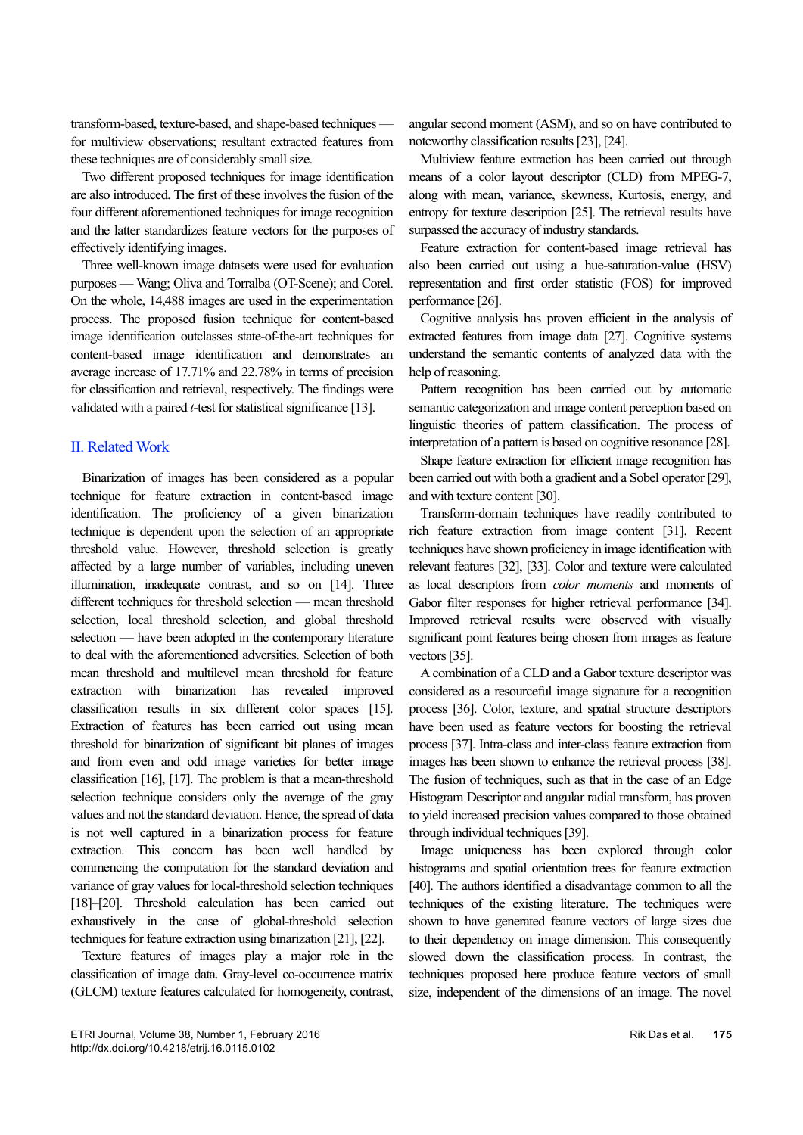transform-based, texture-based, and shape-based techniques for multiview observations; resultant extracted features from these techniques are of considerably small size.

Two different proposed techniques for image identification are also introduced. The first of these involves the fusion of the four different aforementioned techniques for image recognition and the latter standardizes feature vectors for the purposes of effectively identifying images.

Three well-known image datasets were used for evaluation purposes — Wang; Oliva and Torralba (OT-Scene); and Corel. On the whole, 14,488 images are used in the experimentation process. The proposed fusion technique for content-based image identification outclasses state-of-the-art techniques for content-based image identification and demonstrates an average increase of 17.71% and 22.78% in terms of precision for classification and retrieval, respectively. The findings were validated with a paired *t*-test for statistical significance [13].

# II. Related Work

Binarization of images has been considered as a popular technique for feature extraction in content-based image identification. The proficiency of a given binarization technique is dependent upon the selection of an appropriate threshold value. However, threshold selection is greatly affected by a large number of variables, including uneven illumination, inadequate contrast, and so on [14]. Three different techniques for threshold selection — mean threshold selection, local threshold selection, and global threshold selection — have been adopted in the contemporary literature to deal with the aforementioned adversities. Selection of both mean threshold and multilevel mean threshold for feature extraction with binarization has revealed improved classification results in six different color spaces [15]. Extraction of features has been carried out using mean threshold for binarization of significant bit planes of images and from even and odd image varieties for better image classification [16], [17]. The problem is that a mean-threshold selection technique considers only the average of the gray values and not the standard deviation. Hence, the spread of data is not well captured in a binarization process for feature extraction. This concern has been well handled by commencing the computation for the standard deviation and variance of gray values for local-threshold selection techniques [18]–[20]. Threshold calculation has been carried out exhaustively in the case of global-threshold selection techniques for feature extraction using binarization [21], [22].

Texture features of images play a major role in the classification of image data. Gray-level co-occurrence matrix (GLCM) texture features calculated for homogeneity, contrast,

angular second moment (ASM), and so on have contributed to noteworthy classification results [23], [24].

Multiview feature extraction has been carried out through means of a color layout descriptor (CLD) from MPEG-7, along with mean, variance, skewness, Kurtosis, energy, and entropy for texture description [25]. The retrieval results have surpassed the accuracy of industry standards.

Feature extraction for content-based image retrieval has also been carried out using a hue-saturation-value (HSV) representation and first order statistic (FOS) for improved performance [26].

Cognitive analysis has proven efficient in the analysis of extracted features from image data [27]. Cognitive systems understand the semantic contents of analyzed data with the help of reasoning.

Pattern recognition has been carried out by automatic semantic categorization and image content perception based on linguistic theories of pattern classification. The process of interpretation of a pattern is based on cognitive resonance [28].

Shape feature extraction for efficient image recognition has been carried out with both a gradient and a Sobel operator [29], and with texture content [30].

Transform-domain techniques have readily contributed to rich feature extraction from image content [31]. Recent techniques have shown proficiency in image identification with relevant features [32], [33]. Color and texture were calculated as local descriptors from *color moments* and moments of Gabor filter responses for higher retrieval performance [34]. Improved retrieval results were observed with visually significant point features being chosen from images as feature vectors [35].

A combination of a CLD and a Gabor texture descriptor was considered as a resourceful image signature for a recognition process [36]. Color, texture, and spatial structure descriptors have been used as feature vectors for boosting the retrieval process [37]. Intra-class and inter-class feature extraction from images has been shown to enhance the retrieval process [38]. The fusion of techniques, such as that in the case of an Edge Histogram Descriptor and angular radial transform, has proven to yield increased precision values compared to those obtained through individual techniques [39].

Image uniqueness has been explored through color histograms and spatial orientation trees for feature extraction [40]. The authors identified a disadvantage common to all the techniques of the existing literature. The techniques were shown to have generated feature vectors of large sizes due to their dependency on image dimension. This consequently slowed down the classification process. In contrast, the techniques proposed here produce feature vectors of small size, independent of the dimensions of an image. The novel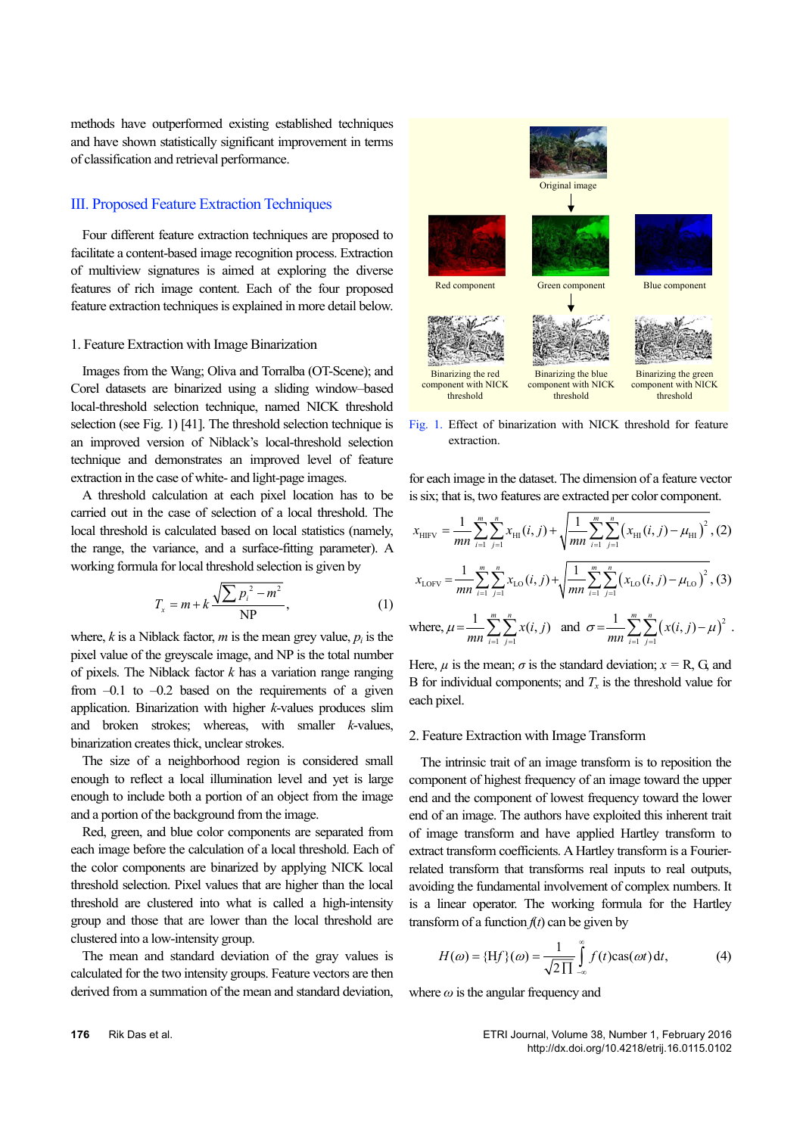methods have outperformed existing established techniques and have shown statistically significant improvement in terms of classification and retrieval performance.

# III. Proposed Feature Extraction Techniques

Four different feature extraction techniques are proposed to facilitate a content-based image recognition process. Extraction of multiview signatures is aimed at exploring the diverse features of rich image content. Each of the four proposed feature extraction techniques is explained in more detail below.

## 1. Feature Extraction with Image Binarization

Images from the Wang; Oliva and Torralba (OT-Scene); and Corel datasets are binarized using a sliding window–based local-threshold selection technique, named NICK threshold selection (see Fig. 1) [41]. The threshold selection technique is an improved version of Niblack's local-threshold selection technique and demonstrates an improved level of feature extraction in the case of white- and light-page images.

A threshold calculation at each pixel location has to be carried out in the case of selection of a local threshold. The local threshold is calculated based on local statistics (namely, the range, the variance, and a surface-fitting parameter). A working formula for local threshold selection is given by

$$
T_x = m + k \frac{\sqrt{\sum p_i^2 - m^2}}{NP},
$$
 (1)

where,  $k$  is a Niblack factor,  $m$  is the mean grey value,  $p_i$  is the pixel value of the greyscale image, and NP is the total number of pixels. The Niblack factor *k* has a variation range ranging from  $-0.1$  to  $-0.2$  based on the requirements of a given application. Binarization with higher *k*-values produces slim and broken strokes; whereas, with smaller *k*-values, binarization creates thick, unclear strokes.

The size of a neighborhood region is considered small enough to reflect a local illumination level and yet is large enough to include both a portion of an object from the image and a portion of the background from the image.

Red, green, and blue color components are separated from each image before the calculation of a local threshold. Each of the color components are binarized by applying NICK local threshold selection. Pixel values that are higher than the local threshold are clustered into what is called a high-intensity group and those that are lower than the local threshold are clustered into a low-intensity group.

The mean and standard deviation of the gray values is calculated for the two intensity groups. Feature vectors are then derived from a summation of the mean and standard deviation,



Fig. 1. Effect of binarization with NICK threshold for feature extraction.

for each image in the dataset. The dimension of a feature vector is six; that is, two features are extracted per color component.

$$
x_{\text{HIFV}} = \frac{1}{mn} \sum_{i=1}^{m} \sum_{j=1}^{n} x_{\text{HI}}(i, j) + \sqrt{\frac{1}{mn} \sum_{i=1}^{m} \sum_{j=1}^{n} (x_{\text{HI}}(i, j) - \mu_{\text{HI}})^{2}}, (2)
$$
  

$$
x_{\text{LOFV}} = \frac{1}{mn} \sum_{i=1}^{m} \sum_{j=1}^{n} x_{\text{LO}}(i, j) + \sqrt{\frac{1}{mn} \sum_{i=1}^{m} \sum_{j=1}^{n} (x_{\text{LO}}(i, j) - \mu_{\text{LO}})^{2}}, (3)
$$

where, 
$$
\mu = \frac{1}{mn} \sum_{i=1}^{m} \sum_{j=1}^{n} x(i, j)
$$
 and  $\sigma = \frac{1}{mn} \sum_{i=1}^{m} \sum_{j=1}^{n} (x(i, j) - \mu)^2$ .

Here,  $\mu$  is the mean;  $\sigma$  is the standard deviation;  $x = R$ , G, and B for individual components; and  $T_x$  is the threshold value for each pixel.

#### 2. Feature Extraction with Image Transform

The intrinsic trait of an image transform is to reposition the component of highest frequency of an image toward the upper end and the component of lowest frequency toward the lower end of an image. The authors have exploited this inherent trait of image transform and have applied Hartley transform to extract transform coefficients. A Hartley transform is a Fourierrelated transform that transforms real inputs to real outputs, avoiding the fundamental involvement of complex numbers. It is a linear operator. The working formula for the Hartley transform of a function  $f(t)$  can be given by

$$
H(\omega) = \{Hf\}(\omega) = \frac{1}{\sqrt{2\,\Pi}} \int_{-\infty}^{\infty} f(t) \cos(\omega t) \, \mathrm{d}t,\tag{4}
$$

where  $\omega$  is the angular frequency and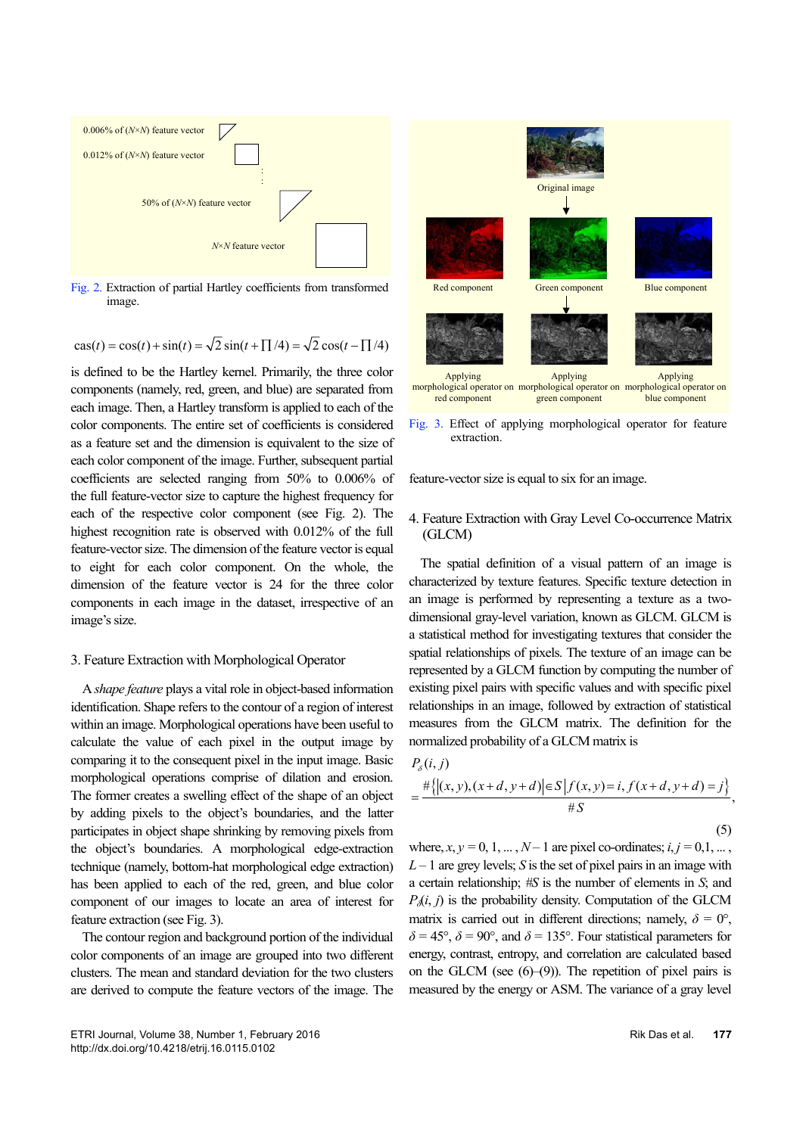

Fig. 2. Extraction of partial Hartley coefficients from transformed image.

$$
\cos(t) = \cos(t) + \sin(t) = \sqrt{2}\sin(t) + \sqrt{2}\cos(t) - \sqrt{2}\cos(t) - \sqrt{4}
$$

is defined to be the Hartley kernel. Primarily, the three color components (namely, red, green, and blue) are separated from each image. Then, a Hartley transform is applied to each of the color components. The entire set of coefficients is considered as a feature set and the dimension is equivalent to the size of each color component of the image. Further, subsequent partial coefficients are selected ranging from 50% to 0.006% of the full feature-vector size to capture the highest frequency for each of the respective color component (see Fig. 2). The highest recognition rate is observed with 0.012% of the full feature-vector size. The dimension of the feature vector is equal to eight for each color component. On the whole, the dimension of the feature vector is 24 for the three color components in each image in the dataset, irrespective of an image's size.

#### 3. Feature Extraction with Morphological Operator

A *shape feature* plays a vital role in object-based information identification. Shape refers to the contour of a region of interest within an image. Morphological operations have been useful to calculate the value of each pixel in the output image by comparing it to the consequent pixel in the input image. Basic morphological operations comprise of dilation and erosion. The former creates a swelling effect of the shape of an object by adding pixels to the object's boundaries, and the latter participates in object shape shrinking by removing pixels from the object's boundaries. A morphological edge-extraction technique (namely, bottom-hat morphological edge extraction) has been applied to each of the red, green, and blue color component of our images to locate an area of interest for feature extraction (see Fig. 3).

The contour region and background portion of the individual color components of an image are grouped into two different clusters. The mean and standard deviation for the two clusters are derived to compute the feature vectors of the image. The



morphological operator on morphological operator on morphological operator on red component green component blue component

Fig. 3. Effect of applying morphological operator for feature extraction.

feature-vector size is equal to six for an image.

# 4. Feature Extraction with Gray Level Co-occurrence Matrix (GLCM)

The spatial definition of a visual pattern of an image is characterized by texture features. Specific texture detection in an image is performed by representing a texture as a twodimensional gray-level variation, known as GLCM. GLCM is a statistical method for investigating textures that consider the spatial relationships of pixels. The texture of an image can be represented by a GLCM function by computing the number of existing pixel pairs with specific values and with specific pixel relationships in an image, followed by extraction of statistical measures from the GLCM matrix. The definition for the normalized probability of a GLCM matrix is

$$
P_{\delta}(i, j) = \frac{\#\{|(x, y), (x+d, y+d)| \in S | f(x, y) = i, f(x+d, y+d) = j\}}{\#S},
$$
\n(5)

where,  $x, y = 0, 1, \ldots, N-1$  are pixel co-ordinates;  $i, j = 0, 1, \ldots$ ,  $L-1$  are grey levels; *S* is the set of pixel pairs in an image with a certain relationship; *#S* is the number of elements in *S*; and  $P_{\delta}(i, j)$  is the probability density. Computation of the GLCM matrix is carried out in different directions; namely,  $\delta = 0^{\circ}$ ,  $\delta = 45^{\circ}$ ,  $\delta = 90^{\circ}$ , and  $\delta = 135^{\circ}$ . Four statistical parameters for energy, contrast, entropy, and correlation are calculated based on the GLCM (see  $(6)$ – $(9)$ ). The repetition of pixel pairs is measured by the energy or ASM. The variance of a gray level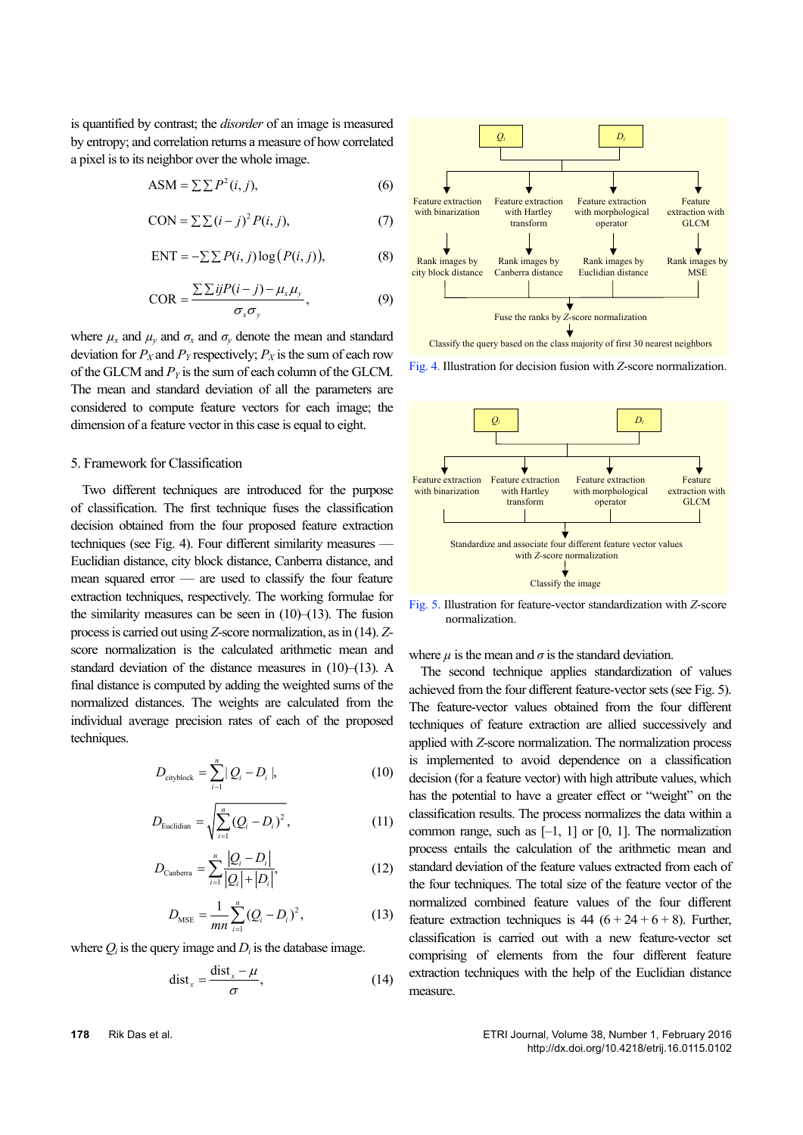is quantified by contrast; the *disorder* of an image is measured by entropy; and correlation returns a measure of how correlated a pixel is to its neighbor over the whole image.

$$
ASM = \sum \sum P^2(i, j),\tag{6}
$$

$$
CON = \sum \sum (i - j)^2 P(i, j),
$$
 (7)

$$
ENT = -\sum \sum P(i, j) \log (P(i, j)),
$$
 (8)

$$
COR = \frac{\sum \sum ijP(i-j) - \mu_{x}\mu_{y}}{\sigma_{x}\sigma_{y}},
$$
\n(9)

where  $\mu_x$  and  $\mu_y$  and  $\sigma_x$  and  $\sigma_y$  denote the mean and standard deviation for  $P_X$  and  $P_Y$  respectively;  $P_X$  is the sum of each row of the GLCM and *PY* is the sum of each column of the GLCM. The mean and standard deviation of all the parameters are considered to compute feature vectors for each image; the dimension of a feature vector in this case is equal to eight.

## 5. Framework for Classification

Two different techniques are introduced for the purpose of classification. The first technique fuses the classification decision obtained from the four proposed feature extraction techniques (see Fig. 4). Four different similarity measures -Euclidian distance, city block distance, Canberra distance, and mean squared error — are used to classify the four feature extraction techniques, respectively. The working formulae for the similarity measures can be seen in  $(10)$ – $(13)$ . The fusion process is carried out using *Z*-score normalization, as in (14). *Z*score normalization is the calculated arithmetic mean and standard deviation of the distance measures in (10)–(13). A final distance is computed by adding the weighted sums of the normalized distances. The weights are calculated from the individual average precision rates of each of the proposed techniques.

$$
D_{\text{cityblock}} = \sum_{i=1}^{n} |Q_i - D_i|,
$$
 (10)

$$
D_{\text{Euclidean}} = \sqrt{\sum_{i=1}^{n} (Q_i - D_i)^2},
$$
 (11)

$$
D_{\text{Canberra}} = \sum_{i=1}^{n} \frac{|Q_i - D_i|}{|Q_i| + |D_i|},
$$
\n(12)

$$
D_{\text{MSE}} = \frac{1}{mn} \sum_{i=1}^{n} (Q_i - D_i)^2, \qquad (13)
$$

where  $Q_i$  is the query image and  $D_i$  is the database image.

$$
dist_x = \frac{dist_x - \mu}{\sigma},
$$
 (14)



Classify the query based on the class majority of first 30 nearest neighbors

Fig. 4. Illustration for decision fusion with *Z*-score normalization.



Fig. 5. Illustration for feature-vector standardization with *Z*-score normalization.

where  $\mu$  is the mean and  $\sigma$  is the standard deviation.

The second technique applies standardization of values achieved from the four different feature-vector sets (see Fig. 5). The feature-vector values obtained from the four different techniques of feature extraction are allied successively and applied with *Z*-score normalization. The normalization process is implemented to avoid dependence on a classification decision (for a feature vector) with high attribute values, which has the potential to have a greater effect or "weight" on the classification results. The process normalizes the data within a common range, such as  $[-1, 1]$  or  $[0, 1]$ . The normalization process entails the calculation of the arithmetic mean and standard deviation of the feature values extracted from each of the four techniques. The total size of the feature vector of the normalized combined feature values of the four different feature extraction techniques is  $44 (6 + 24 + 6 + 8)$ . Further, classification is carried out with a new feature-vector set comprising of elements from the four different feature extraction techniques with the help of the Euclidian distance measure.

**<sup>178</sup>** Rik Das et al. **ETRI Journal, Volume 38, Number 1, February 2016 ETRI Journal, Volume 38, Number 1, February 2016** http://dx.doi.org/10.4218/etrij.16.0115.0102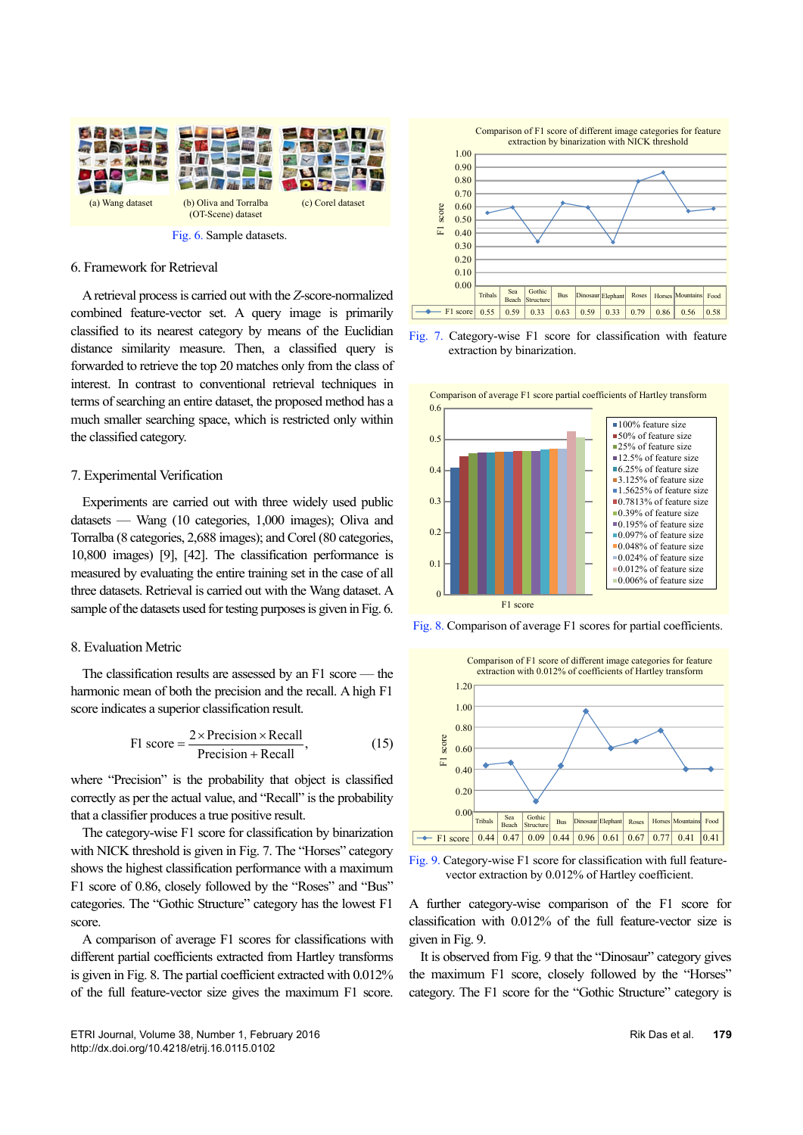

Fig. 6. Sample datasets.

#### 6. Framework for Retrieval

A retrieval process is carried out with the *Z*-score-normalized combined feature-vector set. A query image is primarily classified to its nearest category by means of the Euclidian distance similarity measure. Then, a classified query is forwarded to retrieve the top 20 matches only from the class of interest. In contrast to conventional retrieval techniques in terms of searching an entire dataset, the proposed method has a much smaller searching space, which is restricted only within the classified category.

#### 7. Experimental Verification

Experiments are carried out with three widely used public datasets — Wang (10 categories, 1,000 images); Oliva and Torralba (8 categories, 2,688 images); and Corel (80 categories, 10,800 images) [9], [42]. The classification performance is measured by evaluating the entire training set in the case of all three datasets. Retrieval is carried out with the Wang dataset. A sample of the datasets used for testing purposes is given in Fig. 6.

### 8. Evaluation Metric

The classification results are assessed by an F1 score — the harmonic mean of both the precision and the recall. A high F1 score indicates a superior classification result.

$$
\text{F1 score} = \frac{2 \times \text{Precision} \times \text{Recall}}{\text{Precision} + \text{Recall}},\tag{15}
$$

where "Precision" is the probability that object is classified correctly as per the actual value, and "Recall" is the probability that a classifier produces a true positive result.

The category-wise F1 score for classification by binarization with NICK threshold is given in Fig. 7. The "Horses" category shows the highest classification performance with a maximum F1 score of 0.86, closely followed by the "Roses" and "Bus" categories. The "Gothic Structure" category has the lowest F1 score.

A comparison of average F1 scores for classifications with different partial coefficients extracted from Hartley transforms is given in Fig. 8. The partial coefficient extracted with 0.012% of the full feature-vector size gives the maximum F1 score.



Fig. 7. Category-wise F1 score for classification with feature extraction by binarization.



Fig. 8. Comparison of average F1 scores for partial coefficients.





A further category-wise comparison of the F1 score for classification with 0.012% of the full feature-vector size is given in Fig. 9.

It is observed from Fig. 9 that the "Dinosaur" category gives the maximum F1 score, closely followed by the "Horses" category. The F1 score for the "Gothic Structure" category is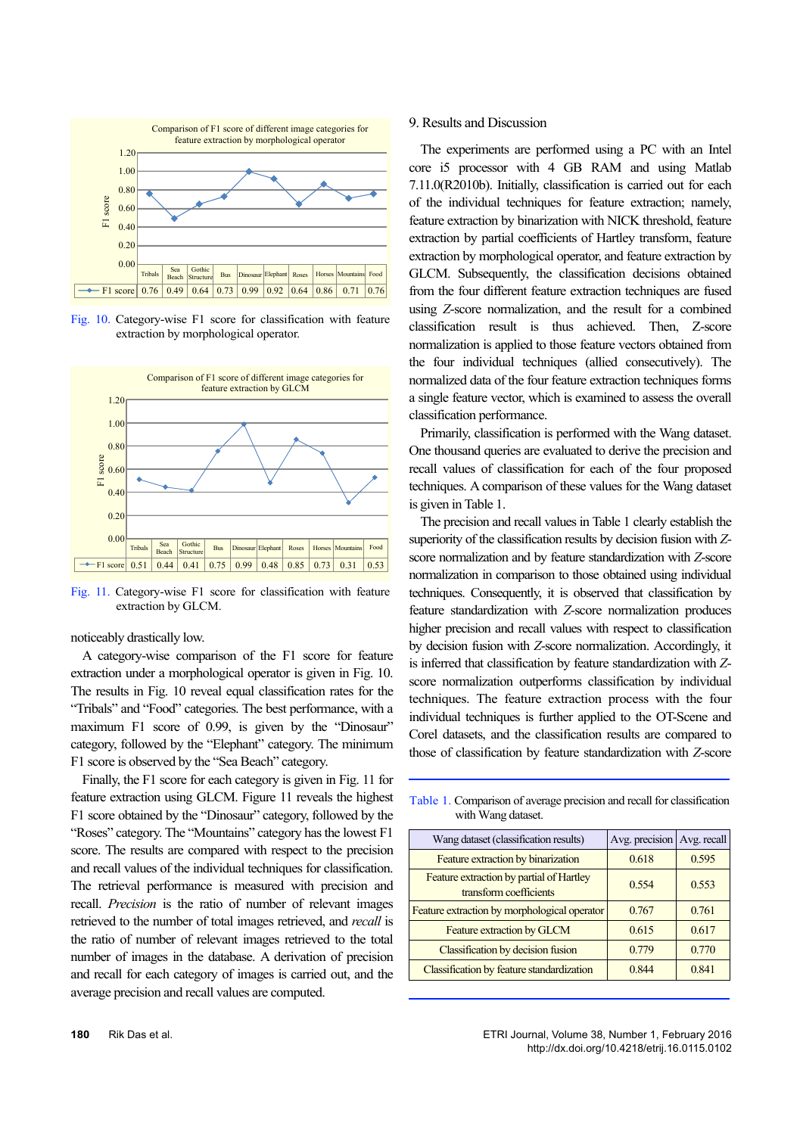

Fig. 10. Category-wise F1 score for classification with feature extraction by morphological operator.



Fig. 11. Category-wise F1 score for classification with feature extraction by GLCM.

#### noticeably drastically low.

A category-wise comparison of the F1 score for feature extraction under a morphological operator is given in Fig. 10. The results in Fig. 10 reveal equal classification rates for the "Tribals" and "Food" categories. The best performance, with a maximum F1 score of 0.99, is given by the "Dinosaur" category, followed by the "Elephant" category. The minimum F1 score is observed by the "Sea Beach" category.

Finally, the F1 score for each category is given in Fig. 11 for feature extraction using GLCM. Figure 11 reveals the highest F1 score obtained by the "Dinosaur" category, followed by the "Roses" category. The "Mountains" category has the lowest F1 score. The results are compared with respect to the precision and recall values of the individual techniques for classification. The retrieval performance is measured with precision and recall. *Precision* is the ratio of number of relevant images retrieved to the number of total images retrieved, and *recall* is the ratio of number of relevant images retrieved to the total number of images in the database. A derivation of precision and recall for each category of images is carried out, and the average precision and recall values are computed.

The experiments are performed using a PC with an Intel core i5 processor with 4 GB RAM and using Matlab 7.11.0(R2010b). Initially, classification is carried out for each of the individual techniques for feature extraction; namely, feature extraction by binarization with NICK threshold, feature extraction by partial coefficients of Hartley transform, feature extraction by morphological operator, and feature extraction by GLCM. Subsequently, the classification decisions obtained from the four different feature extraction techniques are fused using *Z*-score normalization, and the result for a combined classification result is thus achieved. Then, Z-score normalization is applied to those feature vectors obtained from the four individual techniques (allied consecutively). The normalized data of the four feature extraction techniques forms a single feature vector, which is examined to assess the overall classification performance.

Primarily, classification is performed with the Wang dataset. One thousand queries are evaluated to derive the precision and recall values of classification for each of the four proposed techniques. A comparison of these values for the Wang dataset is given in Table 1.

The precision and recall values in Table 1 clearly establish the superiority of the classification results by decision fusion with *Z*score normalization and by feature standardization with *Z*-score normalization in comparison to those obtained using individual techniques. Consequently, it is observed that classification by feature standardization with *Z*-score normalization produces higher precision and recall values with respect to classification by decision fusion with *Z*-score normalization. Accordingly, it is inferred that classification by feature standardization with *Z*score normalization outperforms classification by individual techniques. The feature extraction process with the four individual techniques is further applied to the OT-Scene and Corel datasets, and the classification results are compared to those of classification by feature standardization with *Z*-score

Table 1. Comparison of average precision and recall for classification with Wang dataset.

| Wang dataset (classification results)                              | Avg. precision | Avg. recall |
|--------------------------------------------------------------------|----------------|-------------|
| Feature extraction by binarization                                 | 0.618          | 0.595       |
| Feature extraction by partial of Hartley<br>transform coefficients | 0.554          | 0.553       |
| Feature extraction by morphological operator                       | 0.767          | 0.761       |
| Feature extraction by GLCM                                         | 0.615          | 0.617       |
| <b>Classification by decision fusion</b>                           | 0.779          | 0.770       |
| Classification by feature standardization                          | 0.844          | 0.841       |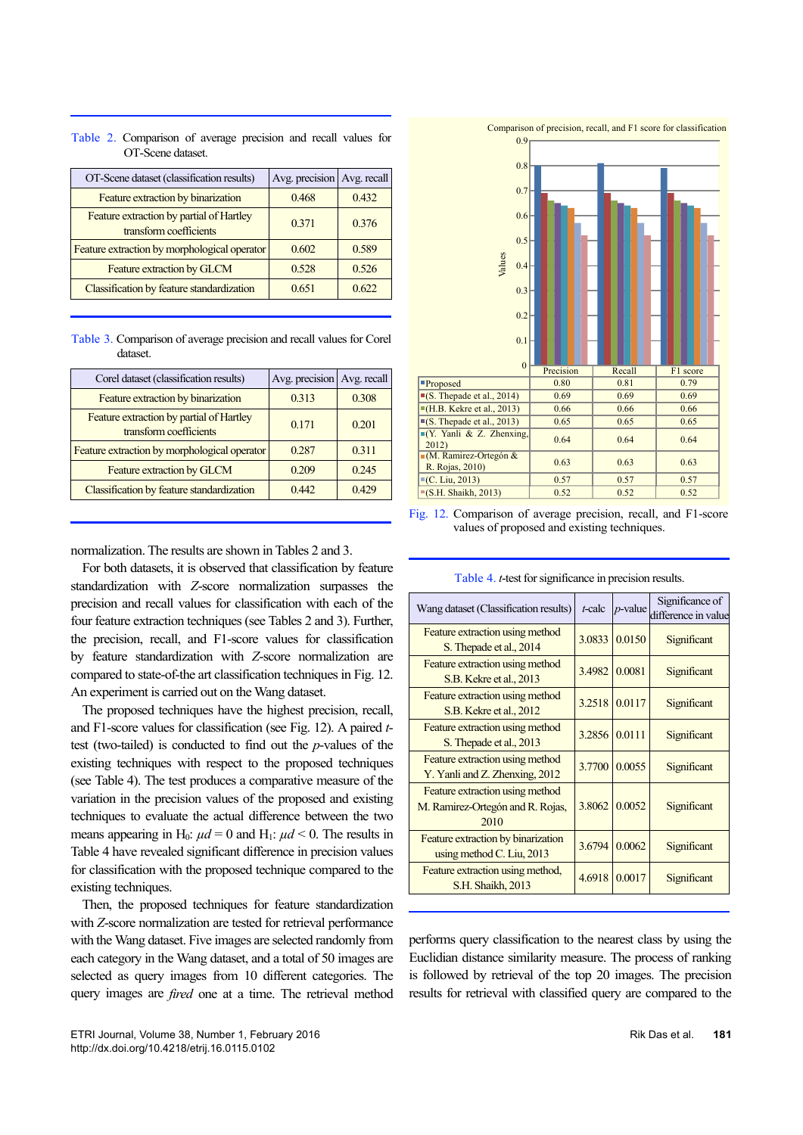| OT-Scene dataset (classification results)                          | Avg. precision | Avg. recall |
|--------------------------------------------------------------------|----------------|-------------|
| Feature extraction by binarization                                 | 0.468          | 0.432       |
| Feature extraction by partial of Hartley<br>transform coefficients | 0.371          | 0.376       |
| Feature extraction by morphological operator                       | 0.602          | 0.589       |
| Feature extraction by GLCM                                         | 0.528          | 0.526       |
| Classification by feature standardization                          | 0.651          | 0.622       |

Table 2. Comparison of average precision and recall values for OT-Scene dataset.

Table 3. Comparison of average precision and recall values for Corel dataset.

| Corel dataset (classification results)                             | Avg. precision Avg. recall |       |  |
|--------------------------------------------------------------------|----------------------------|-------|--|
| Feature extraction by binarization                                 | 0.313                      | 0.308 |  |
| Feature extraction by partial of Hartley<br>transform coefficients | 0.171                      | 0.201 |  |
| Feature extraction by morphological operator                       | 0.287                      | 0.311 |  |
| Feature extraction by GLCM                                         | 0.209                      | 0.245 |  |
| <b>Classification by feature standardization</b>                   | 0.442                      | 0.429 |  |

normalization. The results are shown in Tables 2 and 3.

For both datasets, it is observed that classification by feature standardization with *Z*-score normalization surpasses the precision and recall values for classification with each of the four feature extraction techniques (see Tables 2 and 3). Further, the precision, recall, and F1-score values for classification by feature standardization with *Z*-score normalization are compared to state-of-the art classification techniques in Fig. 12. An experiment is carried out on the Wang dataset.

The proposed techniques have the highest precision, recall, and F1-score values for classification (see Fig. 12). A paired *t*test (two-tailed) is conducted to find out the *p*-values of the existing techniques with respect to the proposed techniques (see Table 4). The test produces a comparative measure of the variation in the precision values of the proposed and existing techniques to evaluate the actual difference between the two means appearing in H<sub>0</sub>:  $\mu d = 0$  and H<sub>1</sub>:  $\mu d < 0$ . The results in Table 4 have revealed significant difference in precision values for classification with the proposed technique compared to the existing techniques.

Then, the proposed techniques for feature standardization with *Z*-score normalization are tested for retrieval performance with the Wang dataset. Five images are selected randomly from each category in the Wang dataset, and a total of 50 images are selected as query images from 10 different categories. The query images are *fired* one at a time. The retrieval method



Fig. 12. Comparison of average precision, recall, and F1-score values of proposed and existing techniques.

| Wang dataset (Classification results)                                       | $t$ -calc | <i>p</i> -value | Significance of<br>difference in value |
|-----------------------------------------------------------------------------|-----------|-----------------|----------------------------------------|
| Feature extraction using method<br>S. Thepade et al., 2014                  | 3.0833    | 0.0150          | Significant                            |
| Feature extraction using method<br>S.B. Kekre et al., 2013                  | 3.4982    | 0.0081          | Significant                            |
| Feature extraction using method<br>S.B. Kekre et al., 2012                  | 3.2518    | 0.0117          | Significant                            |
| Feature extraction using method<br>S. Thepade et al., 2013                  | 3.2856    | 0.0111          | Significant                            |
| Feature extraction using method<br>Y. Yanli and Z. Zhenxing, 2012           | 3.7700    | 0.0055          | Significant                            |
| Feature extraction using method<br>M. Ramirez-Ortegón and R. Rojas,<br>2010 | 3.8062    | 0.0052          | Significant                            |
| Feature extraction by binarization<br>using method C. Liu, $2013$           | 3.6794    | 0.0062          | Significant                            |
| Feature extraction using method,<br>S.H. Shaikh, 2013                       | 4.6918    | 0.0017          | Significant                            |

Table 4. *t*-test for significance in precision results.

performs query classification to the nearest class by using the Euclidian distance similarity measure. The process of ranking is followed by retrieval of the top 20 images. The precision results for retrieval with classified query are compared to the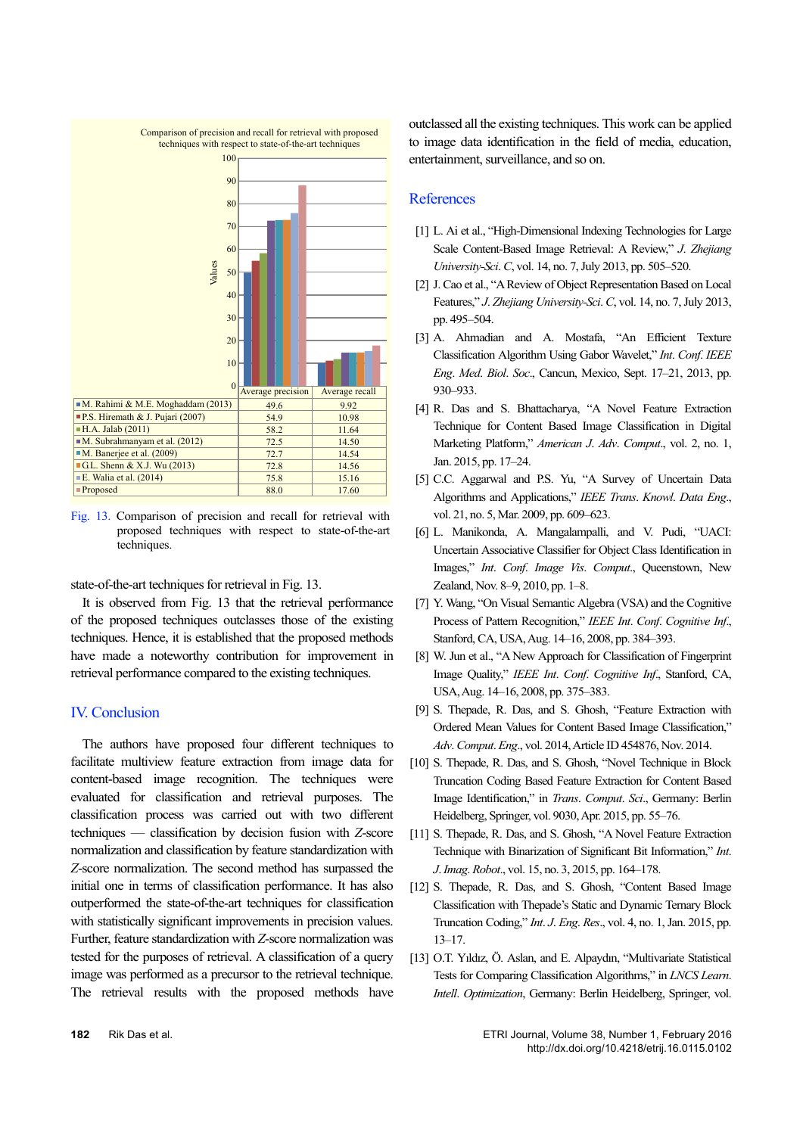

Fig. 13. Comparison of precision and recall for retrieval with proposed techniques with respect to state-of-the-art techniques.

state-of-the-art techniques for retrieval in Fig. 13.

It is observed from Fig. 13 that the retrieval performance of the proposed techniques outclasses those of the existing techniques. Hence, it is established that the proposed methods have made a noteworthy contribution for improvement in retrieval performance compared to the existing techniques.

## IV. Conclusion

The authors have proposed four different techniques to facilitate multiview feature extraction from image data for content-based image recognition. The techniques were evaluated for classification and retrieval purposes. The classification process was carried out with two different techniques — classification by decision fusion with *Z*-score normalization and classification by feature standardization with *Z*-score normalization. The second method has surpassed the initial one in terms of classification performance. It has also outperformed the state-of-the-art techniques for classification with statistically significant improvements in precision values. Further, feature standardization with *Z*-score normalization was tested for the purposes of retrieval. A classification of a query image was performed as a precursor to the retrieval technique. The retrieval results with the proposed methods have

outclassed all the existing techniques. This work can be applied to image data identification in the field of media, education, entertainment, surveillance, and so on.

### **References**

- [1] L. Ai et al., "High-Dimensional Indexing Technologies for Large Scale Content-Based Image Retrieval: A Review," *J*. *Zhejiang University-Sci*. *C*, vol. 14, no. 7, July 2013, pp. 505–520.
- [2] J. Cao et al., "A Review of Object Representation Based on Local Features," *J*. *Zhejiang University-Sci*. *C*, vol. 14, no. 7, July 2013, pp. 495–504.
- [3] A. Ahmadian and A. Mostafa, "An Efficient Texture Classification Algorithm Using Gabor Wavelet," *Int*. *Conf*. *IEEE Eng*. *Med*. *Biol*. *Soc*., Cancun, Mexico, Sept. 17–21, 2013, pp. 930–933.
- [4] R. Das and S. Bhattacharya, "A Novel Feature Extraction Technique for Content Based Image Classification in Digital Marketing Platform," *American J*. *Adv*. *Comput*., vol. 2, no. 1, Jan. 2015, pp. 17–24.
- [5] C.C. Aggarwal and P.S. Yu, "A Survey of Uncertain Data Algorithms and Applications," *IEEE Trans*. *Knowl*. *Data Eng*., vol. 21, no. 5, Mar. 2009, pp. 609–623.
- [6] L. Manikonda, A. Mangalampalli, and V. Pudi, "UACI: Uncertain Associative Classifier for Object Class Identification in Images," *Int*. *Conf*. *Image Vis*. *Comput*., Queenstown, New Zealand, Nov. 8–9, 2010, pp. 1–8.
- [7] Y. Wang, "On Visual Semantic Algebra (VSA) and the Cognitive Process of Pattern Recognition," *IEEE Int*. *Conf*. *Cognitive Inf*., Stanford, CA, USA, Aug. 14–16, 2008, pp. 384–393.
- [8] W. Jun et al., "A New Approach for Classification of Fingerprint Image Quality," *IEEE Int*. *Conf*. *Cognitive Inf*., Stanford, CA, USA, Aug. 14–16, 2008, pp. 375–383.
- [9] S. Thepade, R. Das, and S. Ghosh, "Feature Extraction with Ordered Mean Values for Content Based Image Classification," *Adv*. *Comput*. *Eng*., vol. 2014, Article ID 454876, Nov. 2014.
- [10] S. Thepade, R. Das, and S. Ghosh, "Novel Technique in Block Truncation Coding Based Feature Extraction for Content Based Image Identification," in *Trans*. *Comput*. *Sci*., Germany: Berlin Heidelberg, Springer, vol. 9030, Apr. 2015, pp. 55–76.
- [11] S. Thepade, R. Das, and S. Ghosh, "A Novel Feature Extraction Technique with Binarization of Significant Bit Information," *Int*. *J*. *Imag*. *Robot*., vol. 15, no. 3, 2015, pp. 164–178.
- [12] S. Thepade, R. Das, and S. Ghosh, "Content Based Image Classification with Thepade's Static and Dynamic Ternary Block Truncation Coding," *Int*. *J*. *Eng*. *Res*., vol. 4, no. 1, Jan. 2015, pp. 13–17.
- [13] O.T. Yıldız, Ö. Aslan, and E. Alpaydın, "Multivariate Statistical Tests for Comparing Classification Algorithms," in *LNCS Learn*. *Intell*. *Optimization*, Germany: Berlin Heidelberg, Springer, vol.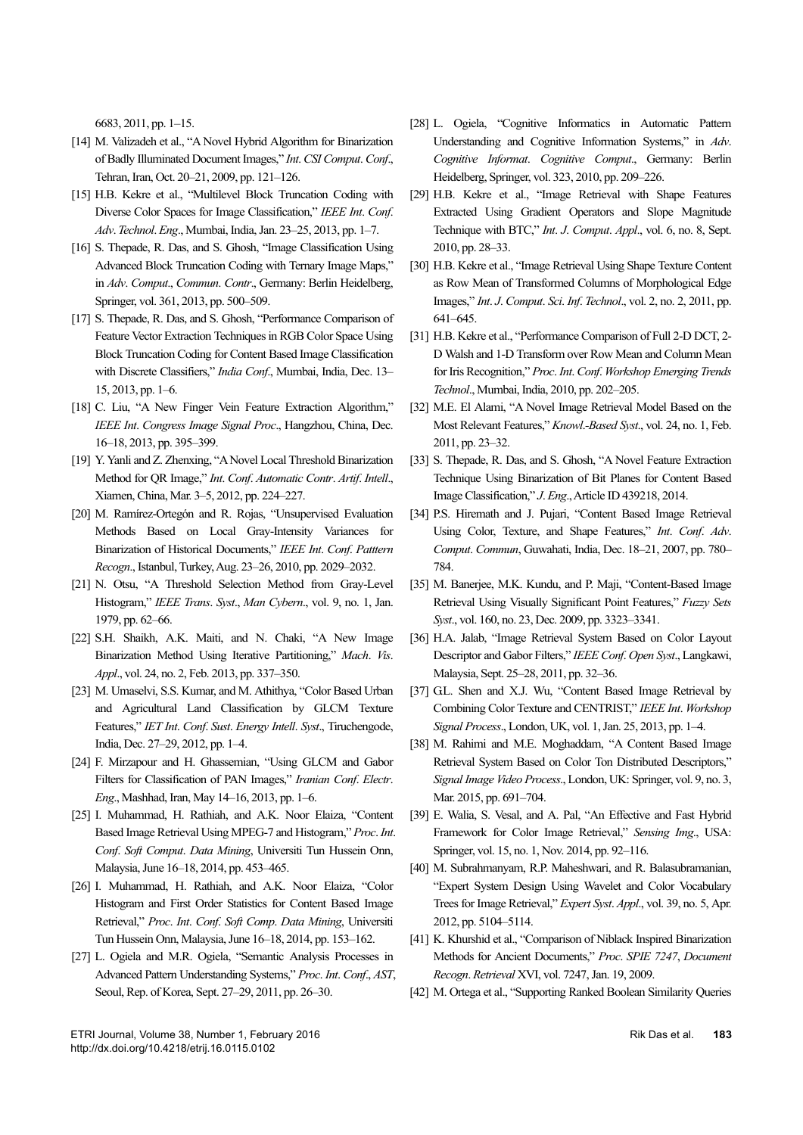6683, 2011, pp. 1–15.

- [14] M. Valizadeh et al., "A Novel Hybrid Algorithm for Binarization of Badly Illuminated Document Images," *Int*. *CSI Comput*. *Conf*., Tehran, Iran, Oct. 20–21, 2009, pp. 121–126.
- [15] H.B. Kekre et al., "Multilevel Block Truncation Coding with Diverse Color Spaces for Image Classification," *IEEE Int*. *Conf*. *Adv*. *Technol*. *Eng*., Mumbai, India, Jan. 23–25, 2013, pp. 1–7.
- [16] S. Thepade, R. Das, and S. Ghosh, "Image Classification Using Advanced Block Truncation Coding with Ternary Image Maps," in *Adv*. *Comput*., *Commun*. *Contr*., Germany: Berlin Heidelberg, Springer, vol. 361, 2013, pp. 500–509.
- [17] S. Thepade, R. Das, and S. Ghosh, "Performance Comparison of Feature Vector Extraction Techniques in RGB Color Space Using Block Truncation Coding for Content Based Image Classification with Discrete Classifiers," *India Conf*., Mumbai, India, Dec. 13– 15, 2013, pp. 1–6.
- [18] C. Liu, "A New Finger Vein Feature Extraction Algorithm," *IEEE Int*. *Congress Image Signal Proc*., Hangzhou, China, Dec. 16–18, 2013, pp. 395–399.
- [19] Y. Yanli and Z. Zhenxing, "A Novel Local Threshold Binarization Method for QR Image," *Int*. *Conf*. *Automatic Contr*. *Artif*. *Intell*., Xiamen, China, Mar. 3–5, 2012, pp. 224–227.
- [20] M. Ramírez-Ortegón and R. Rojas, "Unsupervised Evaluation Methods Based on Local Gray-Intensity Variances for Binarization of Historical Documents," *IEEE Int*. *Conf*. *Patttern Recogn*., Istanbul, Turkey, Aug. 23–26, 2010, pp. 2029–2032.
- [21] N. Otsu, "A Threshold Selection Method from Gray-Level Histogram," *IEEE Trans*. *Syst*., *Man Cybern*., vol. 9, no. 1, Jan. 1979, pp. 62–66.
- [22] S.H. Shaikh, A.K. Maiti, and N. Chaki, "A New Image Binarization Method Using Iterative Partitioning," *Mach*. *Vis*. *Appl*., vol. 24, no. 2, Feb. 2013, pp. 337–350.
- [23] M. Umaselvi, S.S. Kumar, and M. Athithya, "Color Based Urban and Agricultural Land Classification by GLCM Texture Features," *IET Int*. *Conf*. *Sust*. *Energy Intell*. *Syst*., Tiruchengode, India, Dec. 27–29, 2012, pp. 1–4.
- [24] F. Mirzapour and H. Ghassemian, "Using GLCM and Gabor Filters for Classification of PAN Images," *Iranian Conf*. *Electr*. *Eng*., Mashhad, Iran, May 14–16, 2013, pp. 1–6.
- [25] I. Muhammad, H. Rathiah, and A.K. Noor Elaiza, "Content Based Image Retrieval Using MPEG-7 and Histogram," *Proc*. *Int*. *Conf*. *Soft Comput*. *Data Mining*, Universiti Tun Hussein Onn, Malaysia, June 16–18, 2014, pp. 453–465.
- [26] I. Muhammad, H. Rathiah, and A.K. Noor Elaiza, "Color Histogram and First Order Statistics for Content Based Image Retrieval," *Proc*. *Int*. *Conf*. *Soft Comp*. *Data Mining*, Universiti Tun Hussein Onn, Malaysia, June 16–18, 2014, pp. 153–162.
- [27] L. Ogiela and M.R. Ogiela, "Semantic Analysis Processes in Advanced Pattern Understanding Systems," *Proc*. *Int*. *Conf*., *AST*, Seoul, Rep. of Korea, Sept. 27–29, 2011, pp. 26–30.
- [28] L. Ogiela, "Cognitive Informatics in Automatic Pattern Understanding and Cognitive Information Systems," in *Adv*. *Cognitive Informat*. *Cognitive Comput*., Germany: Berlin Heidelberg, Springer, vol. 323, 2010, pp. 209–226.
- [29] H.B. Kekre et al., "Image Retrieval with Shape Features Extracted Using Gradient Operators and Slope Magnitude Technique with BTC," *Int*. *J*. *Comput*. *Appl*., vol. 6, no. 8, Sept. 2010, pp. 28–33.
- [30] H.B. Kekre et al., "Image Retrieval Using Shape Texture Content as Row Mean of Transformed Columns of Morphological Edge Images," *Int*. *J*. *Comput*. *Sci*. *Inf*. *Technol*., vol. 2, no. 2, 2011, pp. 641–645.
- [31] H.B. Kekre et al., "Performance Comparison of Full 2-D DCT, 2-D Walsh and 1-D Transform over Row Mean and Column Mean for Iris Recognition," *Proc*. *Int*. *Conf*. *Workshop Emerging Trends Technol*., Mumbai, India, 2010, pp. 202–205.
- [32] M.E. El Alami, "A Novel Image Retrieval Model Based on the Most Relevant Features," *Knowl*.*-Based Syst*., vol. 24, no. 1, Feb. 2011, pp. 23–32.
- [33] S. Thepade, R. Das, and S. Ghosh, "A Novel Feature Extraction Technique Using Binarization of Bit Planes for Content Based Image Classification," *J*. *Eng*., Article ID 439218, 2014.
- [34] P.S. Hiremath and J. Pujari, "Content Based Image Retrieval Using Color, Texture, and Shape Features," *Int*. *Conf*. *Adv*. *Comput*. *Commun*, Guwahati, India, Dec. 18–21, 2007, pp. 780– 784.
- [35] M. Banerjee, M.K. Kundu, and P. Maji, "Content-Based Image Retrieval Using Visually Significant Point Features," *Fuzzy Sets Syst*., vol. 160, no. 23, Dec. 2009, pp. 3323–3341.
- [36] H.A. Jalab, "Image Retrieval System Based on Color Layout Descriptor and Gabor Filters," *IEEE Conf*. *Open Syst*., Langkawi, Malaysia, Sept. 25–28, 2011, pp. 32–36.
- [37] G.L. Shen and X.J. Wu, "Content Based Image Retrieval by Combining Color Texture and CENTRIST," *IEEE Int*. *Workshop Signal Process*., London, UK, vol. 1, Jan. 25, 2013, pp. 1–4.
- [38] M. Rahimi and M.E. Moghaddam, "A Content Based Image Retrieval System Based on Color Ton Distributed Descriptors," *Signal Image Video Process*., London, UK: Springer, vol. 9, no. 3, Mar. 2015, pp. 691–704.
- [39] E. Walia, S. Vesal, and A. Pal, "An Effective and Fast Hybrid Framework for Color Image Retrieval," *Sensing Img*., USA: Springer, vol. 15, no. 1, Nov. 2014, pp. 92–116.
- [40] M. Subrahmanyam, R.P. Maheshwari, and R. Balasubramanian, "Expert System Design Using Wavelet and Color Vocabulary Trees for Image Retrieval," *Expert Syst*. *Appl*., vol. 39, no. 5, Apr. 2012, pp. 5104–5114.
- [41] K. Khurshid et al., "Comparison of Niblack Inspired Binarization Methods for Ancient Documents," *Proc*. *SPIE 7247*, *Document Recogn*. *Retrieval* XVI, vol. 7247, Jan. 19, 2009.
- [42] M. Ortega et al., "Supporting Ranked Boolean Similarity Queries